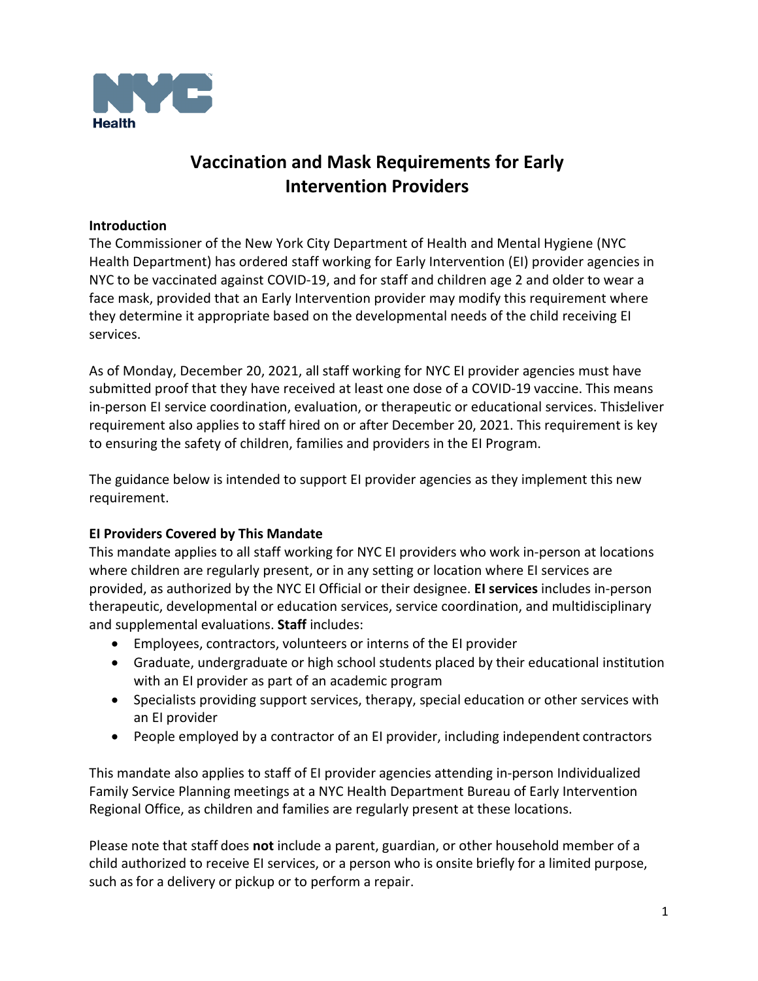

# **Vaccination and Mask Requirements for Early Intervention Providers**

## **Introduction**

The Commissioner of the New York City Department of Health and Mental Hygiene (NYC Health Department) has ordered staff working for Early Intervention (EI) provider agencies in NYC to be vaccinated against COVID-19, and for staff and children age 2 and older to wear a face mask, provided that an Early Intervention provider may modify this requirement where they determine it appropriate based on the developmental needs of the child receiving EI services.

As of Monday, December 20, 2021, all staff working for NYC EI provider agencies must have submitted proof that they have received at least one dose of a COVID-19 vaccine. This means in-person EI service coordination, evaluation, or therapeutic or educational services. This deliver requirement also applies to staff hired on or after December 20, 2021. This requirement is key to ensuring the safety of children, families and providers in the EI Program.

The guidance below is intended to support EI provider agencies as they implement this new requirement.

# **EI Providers Covered by This Mandate**

This mandate applies to all staff working for NYC EI providers who work in-person at locations where children are regularly present, or in any setting or location where EI services are provided, as authorized by the NYC EI Official or their designee. **EI services** includes in-person therapeutic, developmental or education services, service coordination, and multidisciplinary and supplemental evaluations. **Staff** includes:

- Employees, contractors, volunteers or interns of the EI provider
- Graduate, undergraduate or high school students placed by their educational institution with an EI provider as part of an academic program
- Specialists providing support services, therapy, special education or other services with an EI provider
- People employed by a contractor of an EI provider, including independent contractors

This mandate also applies to staff of EI provider agencies attending in-person Individualized Family Service Planning meetings at a NYC Health Department Bureau of Early Intervention Regional Office, as children and families are regularly present at these locations.

Please note that staff does **not** include a parent, guardian, or other household member of a child authorized to receive EI services, or a person who is onsite briefly for a limited purpose, such as for a delivery or pickup or to perform a repair.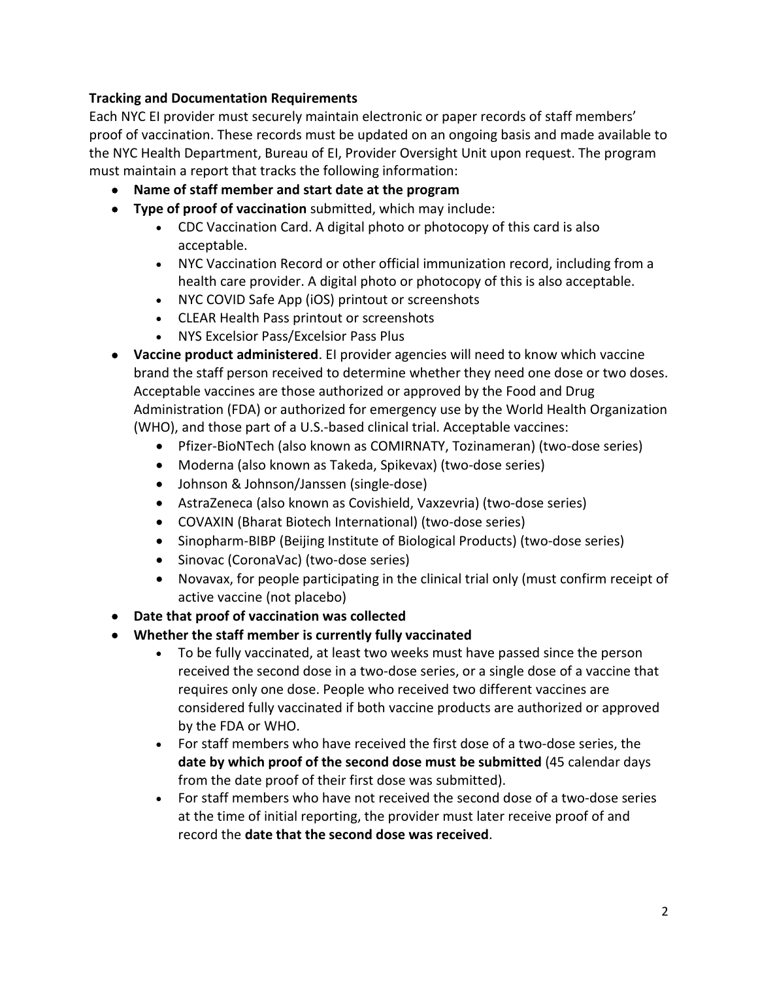# **Tracking and Documentation Requirements**

Each NYC EI provider must securely maintain electronic or paper records of staff members' proof of vaccination. These records must be updated on an ongoing basis and made available to the NYC Health Department, Bureau of EI, Provider Oversight Unit upon request. The program must maintain a report that tracks the following information:

- **Name of staff member and start date at the program**
- **Type of proof of vaccination** submitted, which may include:
	- CDC Vaccination Card. A digital photo or photocopy of this card is also acceptable.
	- NYC Vaccination Record or other official immunization record, including from a health care provider. A digital photo or photocopy of this is also acceptable.
	- NYC COVID Safe App (iOS) printout or screenshots
	- CLEAR Health Pass printout or screenshots
	- NYS Excelsior Pass/Excelsior Pass Plus
- **Vaccine product administered**. EI provider agencies will need to know which vaccine brand the staff person received to determine whether they need one dose or two doses. Acceptable vaccines are those authorized or approved by the Food and Drug Administration (FDA) or authorized for emergency use by the World Health Organization (WHO), and those part of a U.S.-based clinical trial. Acceptable vaccines:
	- Pfizer-BioNTech (also known as COMIRNATY, Tozinameran) (two-dose series)
	- Moderna (also known as Takeda, Spikevax) (two-dose series)
	- Johnson & Johnson/Janssen (single-dose)
	- AstraZeneca (also known as Covishield, Vaxzevria) (two-dose series)
	- COVAXIN (Bharat Biotech International) (two-dose series)
	- Sinopharm-BIBP (Beijing Institute of Biological Products) (two-dose series)
	- Sinovac (CoronaVac) (two-dose series)
	- Novavax, for people participating in the clinical trial only (must confirm receipt of active vaccine (not placebo)
- **Date that proof of vaccination was collected**
- **Whether the staff member is currently fully vaccinated**
	- To be fully vaccinated, at least two weeks must have passed since the person received the second dose in a two-dose series, or a single dose of a vaccine that requires only one dose. People who received two different vaccines are considered fully vaccinated if both vaccine products are authorized or approved by the FDA or WHO.
	- For staff members who have received the first dose of a two-dose series, the **date by which proof of the second dose must be submitted** (45 calendar days from the date proof of their first dose was submitted).
	- For staff members who have not received the second dose of a two-dose series at the time of initial reporting, the provider must later receive proof of and record the **date that the second dose was received**.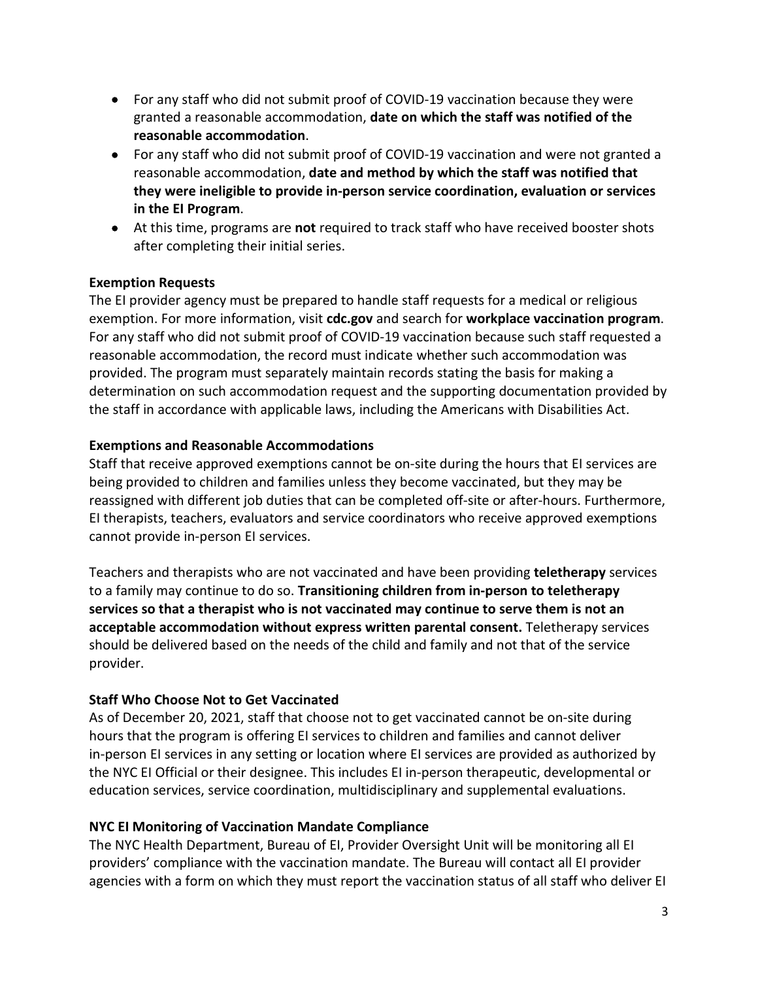- For any staff who did not submit proof of COVID-19 vaccination because they were granted a reasonable accommodation, **date on which the staff was notified of the reasonable accommodation**.
- For any staff who did not submit proof of COVID-19 vaccination and were not granted a reasonable accommodation, **date and method by which the staff was notified that they were ineligible to provide in-person service coordination, evaluation or services in the EI Program**.
- At this time, programs are **not** required to track staff who have received booster shots after completing their initial series.

## **Exemption Requests**

The EI provider agency must be prepared to handle staff requests for a medical or religious exemption. For more information, visit **[cdc.gov](https://cdc.gov/)** and search for **[workplace vaccination program](https://www.cdc.gov/coronavirus/2019-ncov/vaccines/recommendations/essentialworker/workplace-vaccination-program.html)**. For any staff who did not submit proof of COVID-19 vaccination because such staff requested a reasonable accommodation, the record must indicate whether such accommodation was provided. The program must separately maintain records stating the basis for making a determination on such accommodation request and the supporting documentation provided by the staff in accordance with applicable laws, including the Americans with Disabilities Act.

#### **Exemptions and Reasonable Accommodations**

Staff that receive approved exemptions cannot be on-site during the hours that EI services are being provided to children and families unless they become vaccinated, but they may be reassigned with different job duties that can be completed off-site or after-hours. Furthermore, EI therapists, teachers, evaluators and service coordinators who receive approved exemptions cannot provide in-person EI services.

Teachers and therapists who are not vaccinated and have been providing **teletherapy** services to a family may continue to do so. **Transitioning children from in-person to teletherapy services so that a therapist who is not vaccinated may continue to serve them is not an acceptable accommodation without express written parental consent.** Teletherapy services should be delivered based on the needs of the child and family and not that of the service provider.

# **Staff Who Choose Not to Get Vaccinated**

As of December 20, 2021, staff that choose not to get vaccinated cannot be on-site during hours that the program is offering EI services to children and families and cannot deliver in-person EI services in any setting or location where EI services are provided as authorized by the NYC EI Official or their designee. This includes EI in-person therapeutic, developmental or education services, service coordination, multidisciplinary and supplemental evaluations.

#### **NYC EI Monitoring of Vaccination Mandate Compliance**

The NYC Health Department, Bureau of EI, Provider Oversight Unit will be monitoring all EI providers' compliance with the vaccination mandate. The Bureau will contact all EI provider agencies with a form on which they must report the vaccination status of all staff who deliver EI